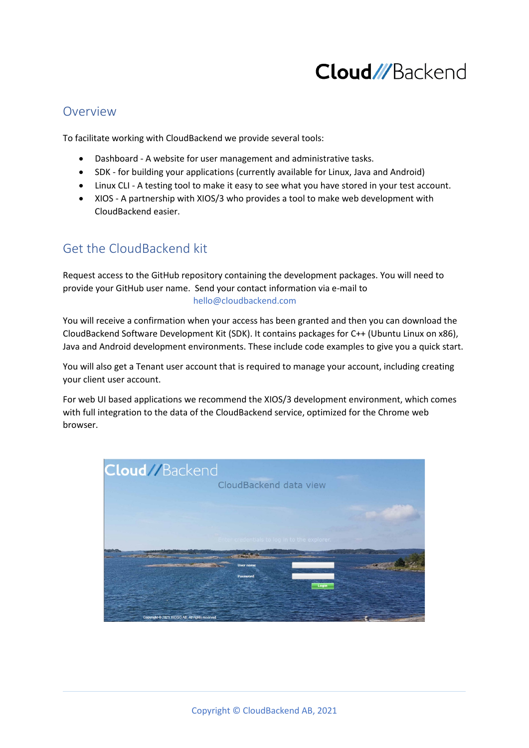# **Cloud///Backend**

### Overview

To facilitate working with CloudBackend we provide several tools:

- Dashboard A website for user management and administrative tasks.
- SDK for building your applications (currently available for Linux, Java and Android)
- Linux CLI A testing tool to make it easy to see what you have stored in your test account.
- XIOS A partnership with XIOS/3 who provides a tool to make web development with CloudBackend easier.

## Get the CloudBackend kit

Request access to the GitHub repository containing the development packages. You will need to provide your GitHub user name. Send your contact information via e-mail to hello@cloudbackend.com

You will receive a confirmation when your access has been granted and then you can download the CloudBackend Software Development Kit (SDK). It contains packages for C++ (Ubuntu Linux on x86), Java and Android development environments. These include code examples to give you a quick start.

You will also get a Tenant user account that is required to manage your account, including creating your client user account.

For web UI based applications we recommend the XIOS/3 development environment, which comes with full integration to the data of the CloudBackend service, optimized for the Chrome web browser.